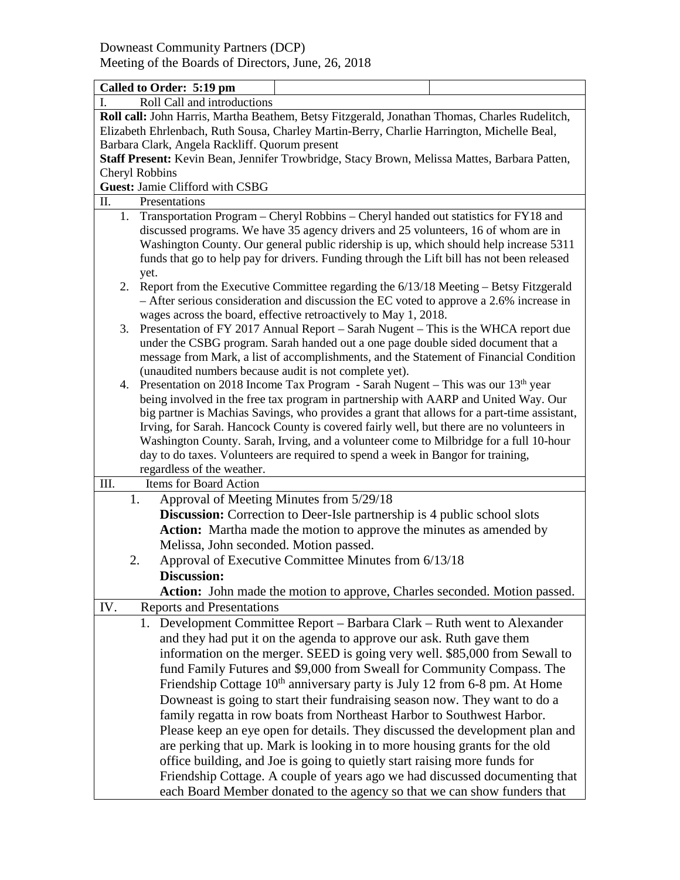| Called to Order: 5:19 pm                                                                          |                                                                                             |  |  |  |  |
|---------------------------------------------------------------------------------------------------|---------------------------------------------------------------------------------------------|--|--|--|--|
| Roll Call and introductions                                                                       |                                                                                             |  |  |  |  |
| Roll call: John Harris, Martha Beathem, Betsy Fitzgerald, Jonathan Thomas, Charles Rudelitch,     |                                                                                             |  |  |  |  |
| Elizabeth Ehrlenbach, Ruth Sousa, Charley Martin-Berry, Charlie Harrington, Michelle Beal,        |                                                                                             |  |  |  |  |
| Barbara Clark, Angela Rackliff. Quorum present                                                    |                                                                                             |  |  |  |  |
| Staff Present: Kevin Bean, Jennifer Trowbridge, Stacy Brown, Melissa Mattes, Barbara Patten,      |                                                                                             |  |  |  |  |
| Cheryl Robbins                                                                                    |                                                                                             |  |  |  |  |
| Guest: Jamie Clifford with CSBG                                                                   |                                                                                             |  |  |  |  |
| Π.<br>Presentations                                                                               |                                                                                             |  |  |  |  |
| Transportation Program – Cheryl Robbins – Cheryl handed out statistics for FY18 and<br>1.         |                                                                                             |  |  |  |  |
| discussed programs. We have 35 agency drivers and 25 volunteers, 16 of whom are in                |                                                                                             |  |  |  |  |
| Washington County. Our general public ridership is up, which should help increase 5311            |                                                                                             |  |  |  |  |
| funds that go to help pay for drivers. Funding through the Lift bill has not been released        |                                                                                             |  |  |  |  |
| yet.                                                                                              |                                                                                             |  |  |  |  |
| 2.                                                                                                | Report from the Executive Committee regarding the 6/13/18 Meeting – Betsy Fitzgerald        |  |  |  |  |
| - After serious consideration and discussion the EC voted to approve a 2.6% increase in           |                                                                                             |  |  |  |  |
| wages across the board, effective retroactively to May 1, 2018.                                   |                                                                                             |  |  |  |  |
| Presentation of FY 2017 Annual Report – Sarah Nugent – This is the WHCA report due<br>3.          |                                                                                             |  |  |  |  |
| under the CSBG program. Sarah handed out a one page double sided document that a                  |                                                                                             |  |  |  |  |
|                                                                                                   | message from Mark, a list of accomplishments, and the Statement of Financial Condition      |  |  |  |  |
| (unaudited numbers because audit is not complete yet).                                            |                                                                                             |  |  |  |  |
| Presentation on 2018 Income Tax Program - Sarah Nugent - This was our 13 <sup>th</sup> year<br>4. |                                                                                             |  |  |  |  |
|                                                                                                   | being involved in the free tax program in partnership with AARP and United Way. Our         |  |  |  |  |
|                                                                                                   | big partner is Machias Savings, who provides a grant that allows for a part-time assistant, |  |  |  |  |
|                                                                                                   | Irving, for Sarah. Hancock County is covered fairly well, but there are no volunteers in    |  |  |  |  |
|                                                                                                   | Washington County. Sarah, Irving, and a volunteer come to Milbridge for a full 10-hour      |  |  |  |  |
|                                                                                                   | day to do taxes. Volunteers are required to spend a week in Bangor for training,            |  |  |  |  |
| regardless of the weather.                                                                        |                                                                                             |  |  |  |  |
| III.<br>Items for Board Action                                                                    |                                                                                             |  |  |  |  |
| 1.<br>Approval of Meeting Minutes from 5/29/18                                                    |                                                                                             |  |  |  |  |
|                                                                                                   | <b>Discussion:</b> Correction to Deer-Isle partnership is 4 public school slots             |  |  |  |  |
| <b>Action:</b> Martha made the motion to approve the minutes as amended by                        |                                                                                             |  |  |  |  |
| Melissa, John seconded. Motion passed.                                                            |                                                                                             |  |  |  |  |
| 2.                                                                                                | Approval of Executive Committee Minutes from 6/13/18                                        |  |  |  |  |
| <b>Discussion:</b>                                                                                |                                                                                             |  |  |  |  |
| Action: John made the motion to approve, Charles seconded. Motion passed.                         |                                                                                             |  |  |  |  |
| IV.<br><b>Reports and Presentations</b>                                                           |                                                                                             |  |  |  |  |
|                                                                                                   | 1. Development Committee Report – Barbara Clark – Ruth went to Alexander                    |  |  |  |  |
|                                                                                                   |                                                                                             |  |  |  |  |
| and they had put it on the agenda to approve our ask. Ruth gave them                              |                                                                                             |  |  |  |  |
| information on the merger. SEED is going very well. \$85,000 from Sewall to                       |                                                                                             |  |  |  |  |
| fund Family Futures and \$9,000 from Sweall for Community Compass. The                            |                                                                                             |  |  |  |  |
| Friendship Cottage 10 <sup>th</sup> anniversary party is July 12 from 6-8 pm. At Home             |                                                                                             |  |  |  |  |
| Downeast is going to start their fundraising season now. They want to do a                        |                                                                                             |  |  |  |  |
| family regatta in row boats from Northeast Harbor to Southwest Harbor.                            |                                                                                             |  |  |  |  |
| Please keep an eye open for details. They discussed the development plan and                      |                                                                                             |  |  |  |  |
| are perking that up. Mark is looking in to more housing grants for the old                        |                                                                                             |  |  |  |  |
| office building, and Joe is going to quietly start raising more funds for                         |                                                                                             |  |  |  |  |
| Friendship Cottage. A couple of years ago we had discussed documenting that                       |                                                                                             |  |  |  |  |
|                                                                                                   |                                                                                             |  |  |  |  |
| each Board Member donated to the agency so that we can show funders that                          |                                                                                             |  |  |  |  |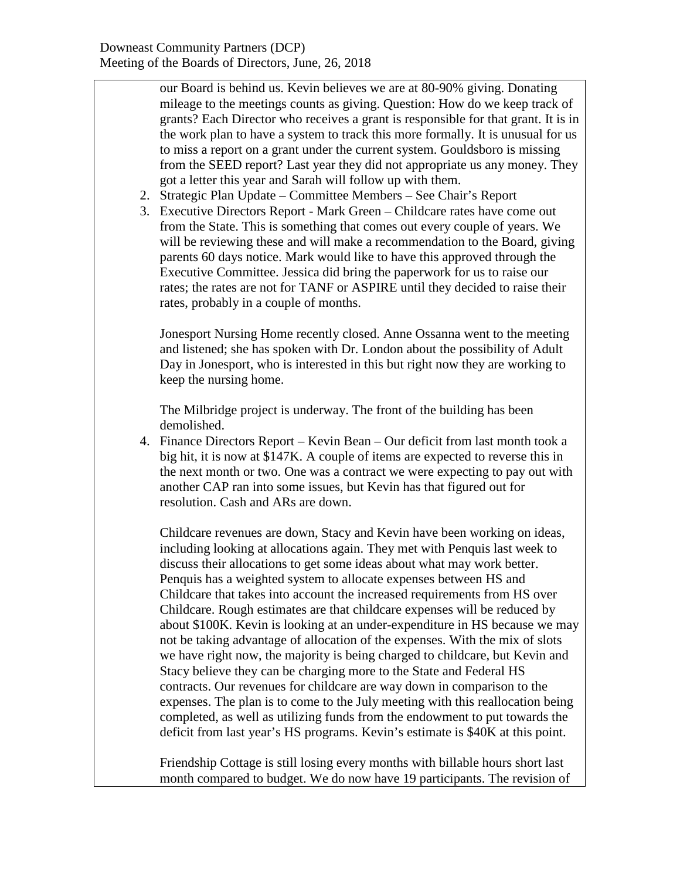our Board is behind us. Kevin believes we are at 80-90% giving. Donating mileage to the meetings counts as giving. Question: How do we keep track of grants? Each Director who receives a grant is responsible for that grant. It is in the work plan to have a system to track this more formally. It is unusual for us to miss a report on a grant under the current system. Gouldsboro is missing from the SEED report? Last year they did not appropriate us any money. They got a letter this year and Sarah will follow up with them.

- 2. Strategic Plan Update Committee Members See Chair's Report
- 3. Executive Directors Report Mark Green Childcare rates have come out from the State. This is something that comes out every couple of years. We will be reviewing these and will make a recommendation to the Board, giving parents 60 days notice. Mark would like to have this approved through the Executive Committee. Jessica did bring the paperwork for us to raise our rates; the rates are not for TANF or ASPIRE until they decided to raise their rates, probably in a couple of months.

Jonesport Nursing Home recently closed. Anne Ossanna went to the meeting and listened; she has spoken with Dr. London about the possibility of Adult Day in Jonesport, who is interested in this but right now they are working to keep the nursing home.

The Milbridge project is underway. The front of the building has been demolished.

4. Finance Directors Report – Kevin Bean – Our deficit from last month took a big hit, it is now at \$147K. A couple of items are expected to reverse this in the next month or two. One was a contract we were expecting to pay out with another CAP ran into some issues, but Kevin has that figured out for resolution. Cash and ARs are down.

Childcare revenues are down, Stacy and Kevin have been working on ideas, including looking at allocations again. They met with Penquis last week to discuss their allocations to get some ideas about what may work better. Penquis has a weighted system to allocate expenses between HS and Childcare that takes into account the increased requirements from HS over Childcare. Rough estimates are that childcare expenses will be reduced by about \$100K. Kevin is looking at an under-expenditure in HS because we may not be taking advantage of allocation of the expenses. With the mix of slots we have right now, the majority is being charged to childcare, but Kevin and Stacy believe they can be charging more to the State and Federal HS contracts. Our revenues for childcare are way down in comparison to the expenses. The plan is to come to the July meeting with this reallocation being completed, as well as utilizing funds from the endowment to put towards the deficit from last year's HS programs. Kevin's estimate is \$40K at this point.

Friendship Cottage is still losing every months with billable hours short last month compared to budget. We do now have 19 participants. The revision of